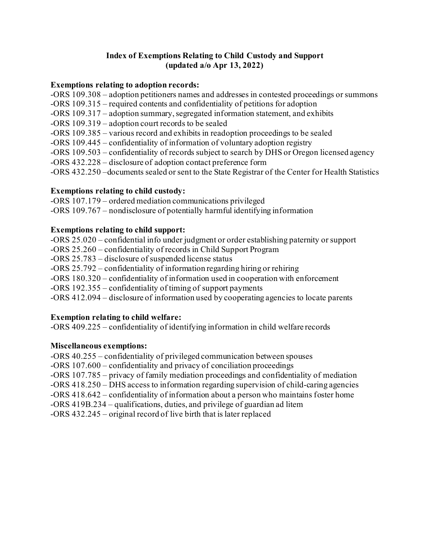#### **Index of Exemptions Relating to Child Custody and Support (updated a/o Apr 13, 2022)**

#### **Exemptions relating to adoption records:**

- -ORS 109.308 adoption petitioners names and addresses in contested proceedings or summons
- -ORS 109.315 required contents and confidentiality of petitions for adoption
- -ORS 109.317 adoption summary, segregated information statement, and exhibits
- -ORS 109.319 adoption court records to be sealed
- -ORS 109.385 various record and exhibits in readoption proceedings to be sealed
- -ORS 109.445 confidentiality of information of voluntary adoption registry
- -ORS 109.503 confidentiality of records subject to search by DHS or Oregon licensed agency
- -ORS 432.228 disclosure of adoption contact preference form
- -ORS 432.250 –documents sealed or sent to the State Registrar of the Center for Health Statistics

#### **Exemptions relating to child custody:**

-ORS 107.179 – ordered mediation communications privileged

-ORS 109.767 – nondisclosure of potentially harmful identifying information

#### **Exemptions relating to child support:**

-ORS 25.020 – confidential info under judgment or order establishing paternity or support -ORS 25.260 – confidentiality of records in Child Support Program -ORS 25.783 – disclosure of suspended license status -ORS 25.792 – confidentiality of information regarding hiring or rehiring -ORS 180.320 – confidentiality of information used in cooperation with enforcement -ORS 192.355 – confidentiality of timing of support payments -ORS 412.094 – disclosure of information used by cooperating agencies to locate parents

#### **Exemption relating to child welfare:**

-ORS 409.225 – confidentiality of identifying information in child welfare records

#### **Miscellaneous exemptions:**

-ORS 40.255 – confidentiality of privileged communication between spouses -ORS 107.600 – confidentiality and privacy of conciliation proceedings -ORS 107.785 – privacy of family mediation proceedings and confidentiality of mediation -ORS 418.250 – DHS access to information regarding supervision of child-caring agencies -ORS 418.642 – confidentiality of information about a person who maintains foster home

-ORS 419B.234 – qualifications, duties, and privilege of guardian ad litem

-ORS 432.245 – original record of live birth that is later replaced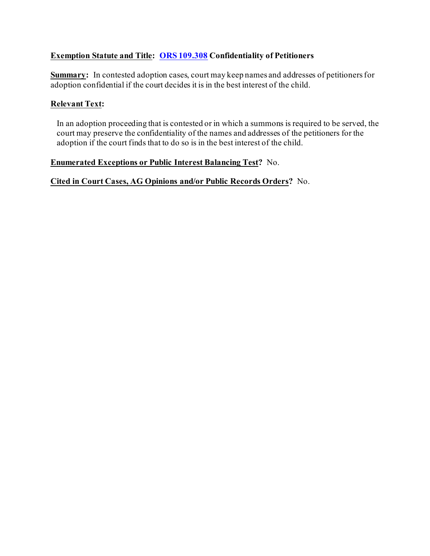# **Exemption Statute and Title: [ORS 109.308](https://www.oregonlaws.org/ors/109.308) Confidentiality of Petitioners**

**Summary:** In contested adoption cases, court may keep names and addresses of petitioners for adoption confidential if the court decides it is in the best interest of the child.

#### **Relevant Text:**

In an adoption proceeding that is contested or in which a summons is required to be served, the court may preserve the confidentiality of the names and addresses of the petitioners for the adoption if the court finds that to do so is in the best interest of the child.

#### **Enumerated Exceptions or Public Interest Balancing Test?** No.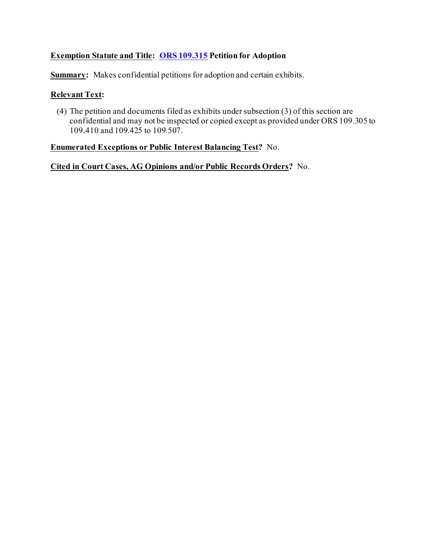## **Exemption Statute and Title: [ORS 109.315](https://www.oregonlaws.org/ors/109.315) Petition for Adoption**

**Summary:** Makes confidential petitions for adoption and certain exhibits.

#### **Relevant Text:**

(4) The petition and documents filed as exhibits under subsection (3) of this section are confidential and may not be inspected or copied except as provided under ORS 109.305 to 109.410 and 109.425 to 109.507.

## **Enumerated Exceptions or Public Interest Balancing Test?** No.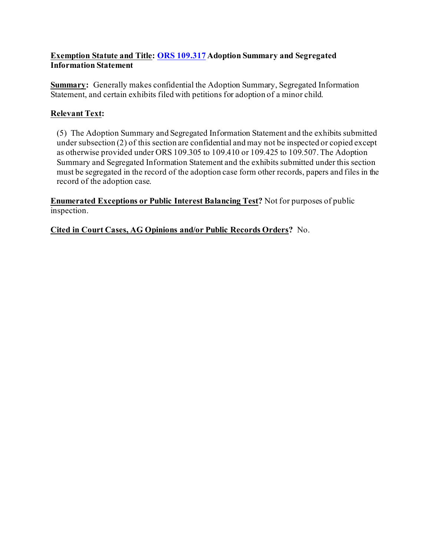## **Exemption Statute and Title: [ORS 109.317](https://www.oregonlaws.org/ors/109.317) Adoption Summary and Segregated Information Statement**

**Summary:** Generally makes confidential the Adoption Summary, Segregated Information Statement, and certain exhibits filed with petitions for adoption of a minor child.

# **Relevant Text:**

(5) The Adoption Summary and Segregated Information Statement and the exhibits submitted under subsection (2) of this section are confidential and may not be inspected or copied except as otherwise provided under ORS 109.305 to 109.410 or 109.425 to 109.507. The Adoption Summary and Segregated Information Statement and the exhibits submitted under this section must be segregated in the record of the adoption case form other records, papers and files in the record of the adoption case.

**Enumerated Exceptions or Public Interest Balancing Test?** Not for purposes of public inspection.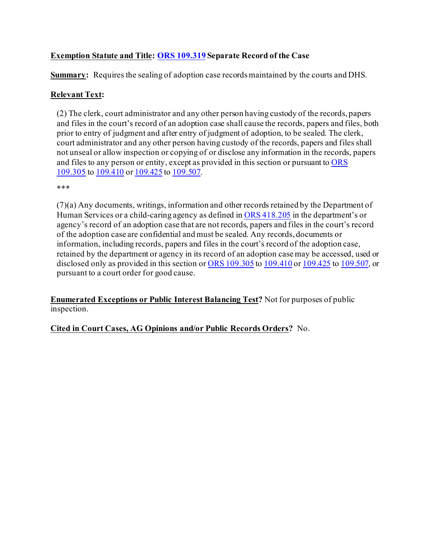# **Exemption Statute and Title: [ORS 109.319](https://oregon.public.law/statutes/ors_109.319) Separate Record of the Case**

**Summary:** Requires the sealing of adoption case recordsmaintained by the courts and DHS.

## **Relevant Text:**

(2) The clerk, court administrator and any other person having custody of the records, papers and files in the court's record of an adoption case shall cause the records, papers and files, both prior to entry of judgment and after entry of judgment of adoption, to be sealed. The clerk, court administrator and any other person having custody of the records, papers and files shall not unseal or allow inspection or copying of or disclose any information in the records, papers and files to any person or entity, except as provided in this section or pursuant to [ORS](https://oregon.public.law/statutes/ors_109.305)  [109.305](https://oregon.public.law/statutes/ors_109.305) to [109.410](https://oregon.public.law/statutes/ors_109.410) or [109.425](https://oregon.public.law/statutes/ors_109.425) to [109.507.](https://oregon.public.law/statutes/ors_109.507)

\*\*\*

(7)(a) Any documents, writings, information and other records retained by the Department of Human Services or a child-caring agency as defined in [ORS 418.205](https://oregon.public.law/statutes/ors_418.205) in the department's or agency's record of an adoption case that are not records, papers and files in the court's record of the adoption case are confidential and must be sealed. Any records, documents or information, including records, papers and files in the court's record of the adoption case, retained by the department or agency in its record of an adoption case may be accessed, used or disclosed only as provided in this section or [ORS 109.305](https://oregon.public.law/statutes/ors_109.305) to [109.410](https://oregon.public.law/statutes/ors_109.410) or [109.425](https://oregon.public.law/statutes/ors_109.425) to [109.507,](https://oregon.public.law/statutes/ors_109.507) or pursuant to a court order for good cause.

**Enumerated Exceptions or Public Interest Balancing Test?** Not for purposes of public inspection.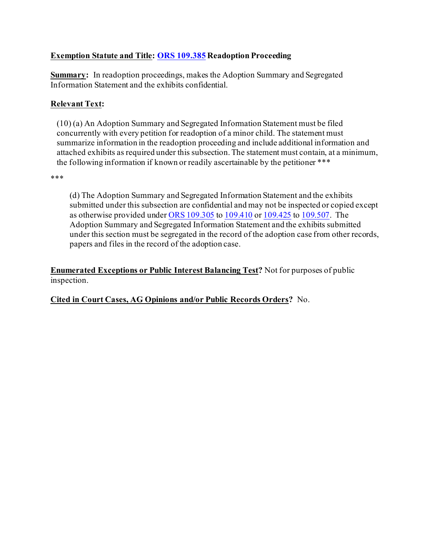## **Exemption Statute and Title: [ORS 109.385](https://oregon.public.law/statutes/ors_109.385) Readoption Proceeding**

**Summary:** In readoption proceedings, makes the Adoption Summary and Segregated Information Statement and the exhibits confidential.

# **Relevant Text:**

(10) (a) An Adoption Summary and Segregated Information Statement must be filed concurrently with every petition for readoption of a minor child. The statement must summarize information in the readoption proceeding and include additional information and attached exhibits as required under this subsection. The statement must contain, at a minimum, the following information if known or readily ascertainable by the petitioner \*\*\*

\*\*\*

(d) The Adoption Summary and Segregated Information Statement and the exhibits submitted under this subsection are confidential and may not be inspected or copied except as otherwise provided under [ORS 109.305](https://oregon.public.law/statutes/ors_109.305) to [109.410](https://oregon.public.law/statutes/ors_109.410) or [109.425](https://oregon.public.law/statutes/ors_109.425) to [109.507](https://oregon.public.law/statutes/ors_109.507). The Adoption Summary and Segregated Information Statement and the exhibits submitted under this section must be segregated in the record of the adoption case from other records, papers and files in the record of the adoption case.

**Enumerated Exceptions or Public Interest Balancing Test?** Not for purposes of public inspection.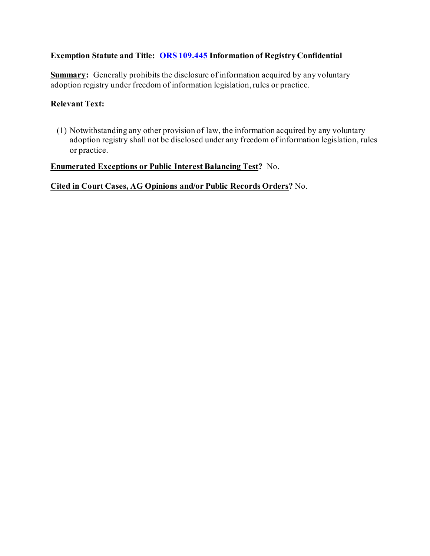# **Exemption Statute and Title: [ORS 109.445](https://www.oregonlaws.org/ors/109.445) Information of Registry Confidential**

**Summary:** Generally prohibits the disclosure of information acquired by any voluntary adoption registry under freedom of information legislation, rules or practice.

#### **Relevant Text:**

(1) Notwithstanding any other provision of law, the information acquired by any voluntary adoption registry shall not be disclosed under any freedom of information legislation, rules or practice.

#### **Enumerated Exceptions or Public Interest Balancing Test?** No.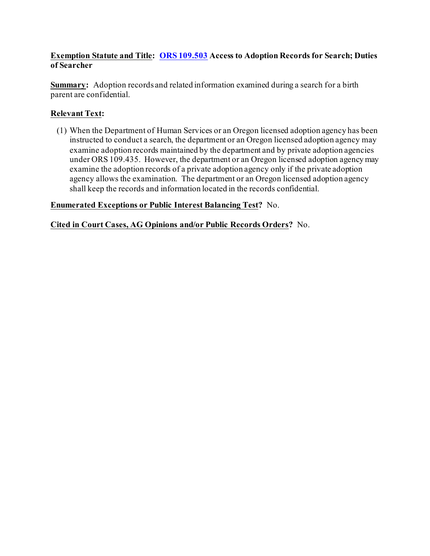#### **Exemption Statute and Title: [ORS 109.503](https://www.oregonlaws.org/ors/109.503) Access to Adoption Records for Search; Duties of Searcher**

**Summary:** Adoption records and related information examined during a search for a birth parent are confidential.

# **Relevant Text:**

(1) When the Department of Human Services or an Oregon licensed adoption agency has been instructed to conduct a search, the department or an Oregon licensed adoption agency may examine adoption records maintained by the department and by private adoption agencies under ORS 109.435. However, the department or an Oregon licensed adoption agency may examine the adoption records of a private adoption agency only if the private adoption agency allows the examination. The department or an Oregon licensed adoption agency shall keep the records and information located in the records confidential.

# **Enumerated Exceptions or Public Interest Balancing Test?** No.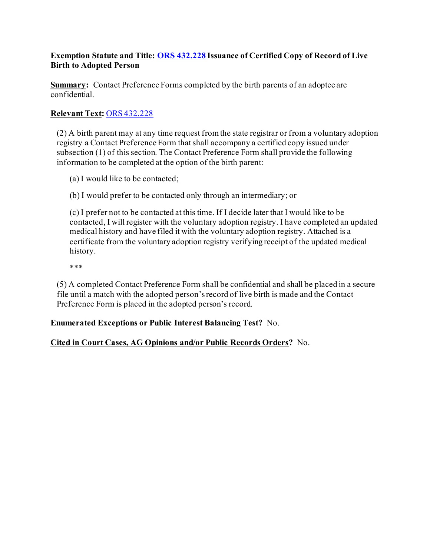## **Exemption Statute and Title: [ORS 432.228](https://www.oregonlaws.org/ors/432.228) Issuance of Certified Copy of Record of Live Birth to Adopted Person**

**Summary:** Contact Preference Forms completed by the birth parents of an adoptee are confidential.

# **Relevant Text:** [ORS 432.228](https://www.oregonlaws.org/ors/432.228)

(2) A birth parent may at any time request from the state registrar or from a voluntary adoption registry a Contact Preference Form that shall accompany a certified copy issued under subsection (1) of this section. The Contact Preference Form shall provide the following information to be completed at the option of the birth parent:

(a) I would like to be contacted;

(b) I would prefer to be contacted only through an intermediary; or

(c) I prefer not to be contacted at this time. If I decide later that I would like to be contacted, I will register with the voluntary adoption registry. I have completed an updated medical history and have filed it with the voluntary adoption registry. Attached is a certificate from the voluntary adoption registry verifying receipt of the updated medical history.

\*\*\*

(5) A completed Contact Preference Form shall be confidential and shall be placed in a secure file until a match with the adopted person's record of live birth is made and the Contact Preference Form is placed in the adopted person's record.

# **Enumerated Exceptions or Public Interest Balancing Test?** No.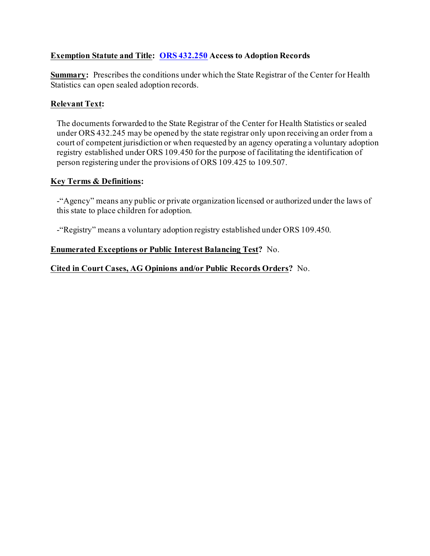# **Exemption Statute and Title: [ORS 432.250](https://www.oregonlaws.org/ors/432.250) Access to Adoption Records**

**Summary:** Prescribes the conditions under which the State Registrar of the Center for Health Statistics can open sealed adoption records.

## **Relevant Text:**

The documents forwarded to the State Registrar of the Center for Health Statistics or sealed under ORS 432.245 may be opened by the state registrar only upon receiving an order from a court of competent jurisdiction or when requested by an agency operating a voluntary adoption registry established under ORS 109.450 for the purpose of facilitating the identification of person registering under the provisions of ORS 109.425 to 109.507.

#### **Key Terms & Definitions:**

-"Agency" means any public or private organization licensed or authorized under the laws of this state to place children for adoption.

-"Registry" means a voluntary adoption registry established under ORS 109.450.

# **Enumerated Exceptions or Public Interest Balancing Test?** No.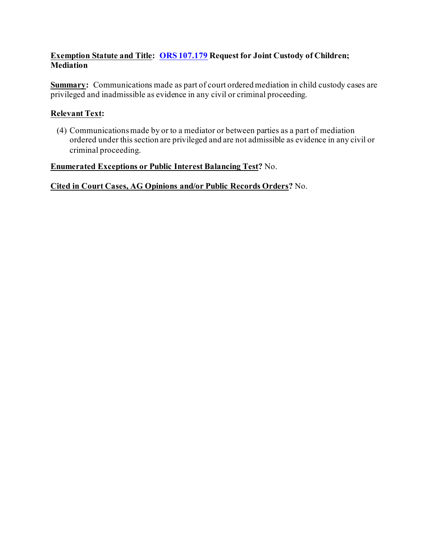## **Exemption Statute and Title: [ORS 107.179](https://www.oregonlaws.org/ors/107.179) Request for Joint Custody of Children; Mediation**

**Summary:** Communications made as part of court ordered mediation in child custody cases are privileged and inadmissible as evidence in any civil or criminal proceeding.

# **Relevant Text:**

(4) Communications made by or to a mediator or between parties as a part of mediation ordered under this section are privileged and are not admissible as evidence in any civil or criminal proceeding.

#### **Enumerated Exceptions or Public Interest Balancing Test?** No.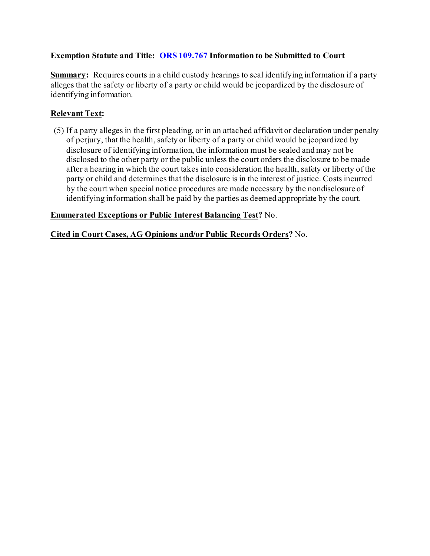# **Exemption Statute and Title: [ORS 109.767](https://www.oregonlaws.org/ors/109.767) Information to be Submitted to Court**

**Summary:** Requires courts in a child custody hearings to seal identifying information if a party alleges that the safety or liberty of a party or child would be jeopardized by the disclosure of identifying information.

# **Relevant Text:**

(5) If a party alleges in the first pleading, or in an attached affidavit or declaration under penalty of perjury, that the health, safety or liberty of a party or child would be jeopardized by disclosure of identifying information, the information must be sealed and may not be disclosed to the other party or the public unless the court orders the disclosure to be made after a hearing in which the court takes into consideration the health, safety or liberty of the party or child and determines that the disclosure is in the interest of justice. Costs incurred by the court when special notice procedures are made necessary by the nondisclosure of identifying information shall be paid by the parties as deemed appropriate by the court.

# **Enumerated Exceptions or Public Interest Balancing Test?** No.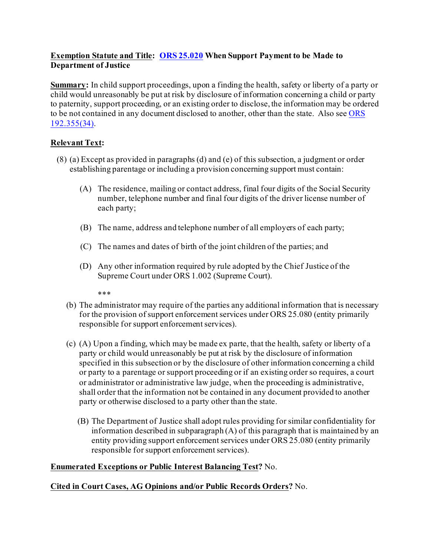# **Exemption Statute and Title: [ORS 25.020](https://oregon.public.law/statutes/ors_25.020) When Support Payment to be Made to Department of Justice**

**Summary:** In child support proceedings, upon a finding the health, safety or liberty of a party or child would unreasonably be put at risk by disclosure of information concerning a child or party to paternity, support proceeding, or an existing order to disclose, the information may be ordered to be not contained in any document disclosed to another, other than the state. Also see ORS [192.355\(34\)](https://oregon.public.law/statutes/ors_192.355).

# **Relevant Text:**

- (8) (a) Except as provided in paragraphs (d) and (e) of this subsection, a judgment or order establishing parentage or including a provision concerning support must contain:
	- (A) The residence, mailing or contact address, final four digits of the Social Security number, telephone number and final four digits of the driver license number of each party;
	- (B) The name, address and telephone number of all employers of each party;
	- (C) The names and dates of birth of the joint children of the parties; and
	- (D) Any other information required by rule adopted by the Chief Justice of the Supreme Court under ORS 1.002 (Supreme Court).

\*\*\*

- (b) The administrator may require of the parties any additional information that is necessary for the provision of support enforcement services under ORS 25.080 (entity primarily responsible for support enforcement services).
- (c) (A) Upon a finding, which may be made ex parte, that the health, safety or liberty of a party or child would unreasonably be put at risk by the disclosure of information specified in this subsection or by the disclosure of other information concerning a child or party to a parentage or support proceeding or if an existing order so requires, a court or administrator or administrative law judge, when the proceeding is administrative, shall order that the information not be contained in any document provided to another party or otherwise disclosed to a party other than the state.
	- (B) The Department of Justice shall adopt rules providing for similar confidentiality for information described in subparagraph (A) of this paragraph that is maintained by an entity providing support enforcement services under ORS 25.080 (entity primarily responsible for support enforcement services).

#### **Enumerated Exceptions or Public Interest Balancing Test?** No.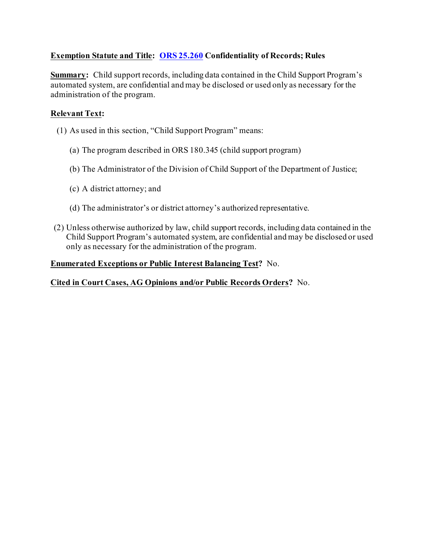# **Exemption Statute and Title: [ORS 25.260](https://www.oregonlaws.org/ors/25.260) Confidentiality of Records; Rules**

**Summary:** Child support records, including data contained in the Child Support Program's automated system, are confidential and may be disclosed or used only as necessary for the administration of the program.

## **Relevant Text:**

- (1) As used in this section, "Child Support Program" means:
	- (a) The program described in ORS 180.345 (child support program)
	- (b) The Administrator of the Division of Child Support of the Department of Justice;
	- (c) A district attorney; and
	- (d) The administrator's or district attorney's authorized representative.
- (2) Unless otherwise authorized by law, child support records, including data contained in the Child Support Program's automated system, are confidential and may be disclosed or used only as necessary for the administration of the program.

#### **Enumerated Exceptions or Public Interest Balancing Test?** No.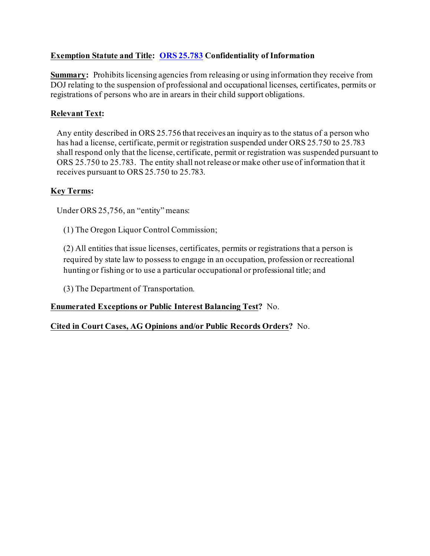# **Exemption Statute and Title: [ORS 25.783](https://www.oregonlaws.org/ors/25.783) Confidentiality of Information**

**Summary:** Prohibits licensing agencies from releasing or using information they receive from DOJ relating to the suspension of professional and occupational licenses, certificates, permits or registrations of persons who are in arears in their child support obligations.

# **Relevant Text:**

Any entity described in ORS 25.756 that receives an inquiry as to the status of a person who has had a license, certificate, permit or registration suspended under ORS 25.750 to 25.783 shall respond only that the license, certificate, permit or registration was suspended pursuant to ORS 25.750 to 25.783. The entity shall not release or make other use of information that it receives pursuant to ORS 25.750 to 25.783.

# **Key Terms:**

Under ORS 25,756, an "entity" means:

(1) The Oregon Liquor Control Commission;

(2) All entities that issue licenses, certificates, permits or registrations that a person is required by state law to possess to engage in an occupation, profession or recreational hunting or fishing or to use a particular occupational or professional title; and

(3) The Department of Transportation.

**Enumerated Exceptions or Public Interest Balancing Test?** No.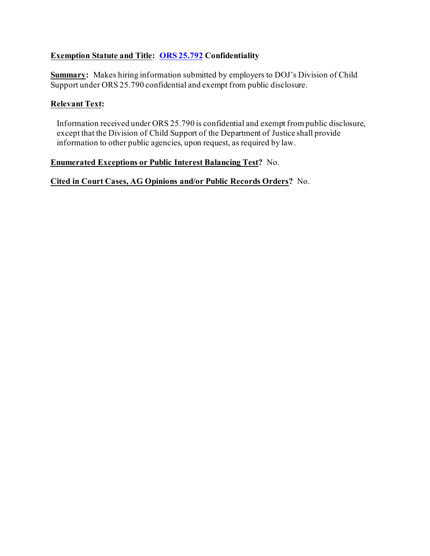### **Exemption Statute and Title: [ORS 25.792](https://www.oregonlaws.org/ors/25.792) Confidentiality**

**Summary:** Makes hiring information submitted by employers to DOJ's Division of Child Support under ORS 25.790 confidential and exempt from public disclosure.

#### **Relevant Text:**

Information received under ORS 25.790 is confidential and exempt from public disclosure, except that the Division of Child Support of the Department of Justice shall provide information to other public agencies, upon request, as required by law.

#### **Enumerated Exceptions or Public Interest Balancing Test?** No.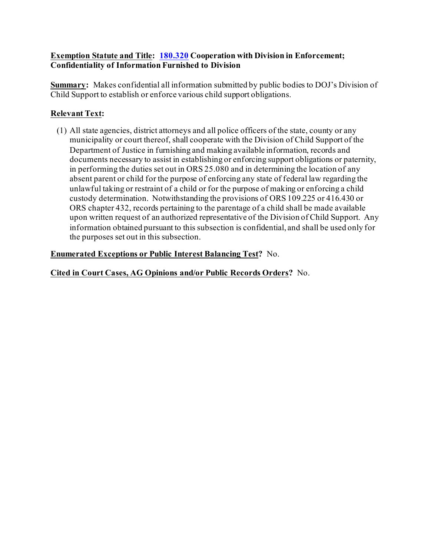#### **Exemption Statute and Title: [180.320](https://www.oregonlaws.org/ors/180.320) Cooperation with Division in Enforcement; Confidentiality of Information Furnished to Division**

**Summary:** Makes confidential all information submitted by public bodies to DOJ's Division of Child Support to establish or enforce various child support obligations.

# **Relevant Text:**

(1) All state agencies, district attorneys and all police officers of the state, county or any municipality or court thereof, shall cooperate with the Division of Child Support of the Department of Justice in furnishing and making available information, records and documents necessary to assist in establishing or enforcing support obligations or paternity, in performing the duties set out in ORS 25.080 and in determining the location of any absent parent or child for the purpose of enforcing any state of federal law regarding the unlawful taking or restraint of a child or for the purpose of making or enforcing a child custody determination. Notwithstanding the provisions of ORS 109.225 or 416.430 or ORS chapter 432, records pertaining to the parentage of a child shall be made available upon written request of an authorized representative of the Division of Child Support. Any information obtained pursuant to this subsection is confidential, and shall be used only for the purposes set out in this subsection.

# **Enumerated Exceptions or Public Interest Balancing Test?** No.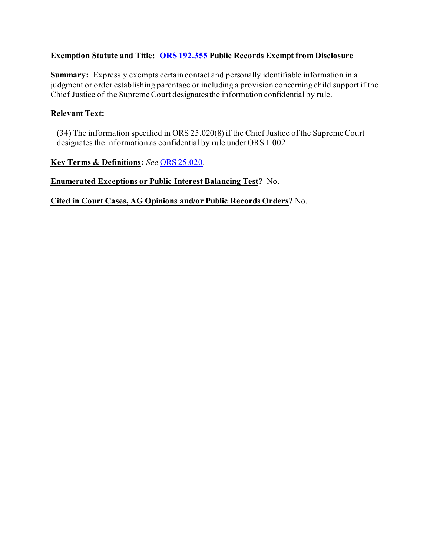### **Exemption Statute and Title: [ORS 192.355](https://www.oregonlaws.org/ors/192.355) Public Records Exempt from Disclosure**

**Summary:** Expressly exempts certain contact and personally identifiable information in a judgment or order establishing parentage or including a provision concerning child support if the Chief Justice of the Supreme Court designates the information confidential by rule.

## **Relevant Text:**

(34) The information specified in ORS 25.020(8) if the Chief Justice of the Supreme Court designates the information as confidential by rule under ORS 1.002.

**Key Terms & Definitions:** *See* [ORS 25.020.](https://www.oregonlaws.org/ors/25.020)

#### **Enumerated Exceptions or Public Interest Balancing Test?** No.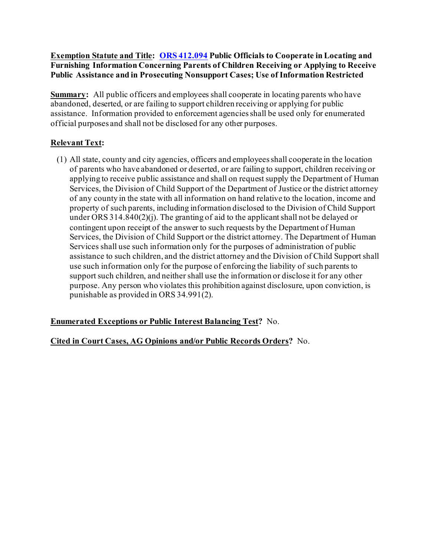#### **Exemption Statute and Title: [ORS 412.094](https://www.oregonlaws.org/ors/412.094) Public Officials to Cooperate in Locating and Furnishing Information Concerning Parents of Children Receiving or Applying to Receive Public Assistance and in Prosecuting Nonsupport Cases; Use of Information Restricted**

**Summary:** All public officers and employees shall cooperate in locating parents who have abandoned, deserted, or are failing to support children receiving or applying for public assistance. Information provided to enforcement agencies shall be used only for enumerated official purposes and shall not be disclosed for any other purposes.

# **Relevant Text:**

(1) All state, county and city agencies, officers and employees shall cooperate in the location of parents who have abandoned or deserted, or are failing to support, children receiving or applying to receive public assistance and shall on request supply the Department of Human Services, the Division of Child Support of the Department of Justice or the district attorney of any county in the state with all information on hand relative to the location, income and property of such parents, including information disclosed to the Division of Child Support under ORS 314.840(2)(j). The granting of aid to the applicant shall not be delayed or contingent upon receipt of the answer to such requests by the Department of Human Services, the Division of Child Support or the district attorney. The Department of Human Services shall use such information only for the purposes of administration of public assistance to such children, and the district attorney and the Division of Child Support shall use such information only for the purpose of enforcing the liability of such parents to support such children, and neither shall use the information or disclose it for any other purpose. Any person who violates this prohibition against disclosure, upon conviction, is punishable as provided in ORS 34.991(2).

# **Enumerated Exceptions or Public Interest Balancing Test?** No.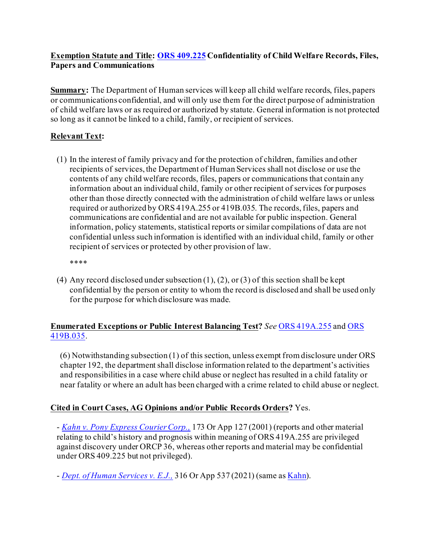## **Exemption Statute and Title: [ORS 409.225](https://oregon.public.law/statutes/ors_409.225) Confidentiality of Child Welfare Records, Files, Papers and Communications**

**Summary:** The Department of Human services will keep all child welfare records, files, papers or communications confidential, and will only use them for the direct purpose of administration of child welfare laws or as required or authorized by statute. General information is not protected so long as it cannot be linked to a child, family, or recipient of services.

# **Relevant Text:**

(1) In the interest of family privacy and for the protection of children, families and other recipients of services, the Department of Human Services shall not disclose or use the contents of any child welfare records, files, papers or communications that contain any information about an individual child, family or other recipient of services for purposes other than those directly connected with the administration of child welfare laws or unless required or authorized by ORS 419A.255 or 419B.035. The records, files, papers and communications are confidential and are not available for public inspection. General information, policy statements, statistical reports or similar compilations of data are not confidential unless such information is identified with an individual child, family or other recipient of services or protected by other provision of law.

\*\*\*\*

(4) Any record disclosed under subsection  $(1)$ ,  $(2)$ , or  $(3)$  of this section shall be kept confidential by the person or entity to whom the record is disclosed and shall be used only for the purpose for which disclosure was made.

# **Enumerated Exceptions or Public Interest Balancing Test?** *See* [ORS 419A.255](https://oregon.public.law/statutes/ors_419a.255) an[d ORS](https://oregon.public.law/statutes/ors_419b.035)  [419B.035](https://oregon.public.law/statutes/ors_419b.035).

(6) Notwithstanding subsection (1) of this section, unless exempt from disclosure under ORS chapter 192, the department shall disclose information related to the department's activities and responsibilities in a case where child abuse or neglect has resulted in a child fatality or near fatality or where an adult has been charged with a crime related to child abuse or neglect.

# **Cited in Court Cases, AG Opinions and/or Public Records Orders?** Yes.

- *[Kahn v. Pony Express Courier Corp.,](https://cdm17027.contentdm.oclc.org/digital/collection/p17027coll5/id/11540/rec/1)* 173 Or App 127 (2001) (reports and other material relating to child's history and prognosis within meaning of ORS 419A.255 are privileged against discovery under ORCP 36, whereas other reports and material may be confidential under ORS 409.225 but not privileged).

- *[Dept. of Human Services v. E.J.,](https://cdm17027.contentdm.oclc.org/digital/collection/p17027coll5/id/30506/rec/2)* 316 Or App 537 (2021) (same a[s Kahn](https://cdm17027.contentdm.oclc.org/digital/collection/p17027coll5/id/11540/rec/1)).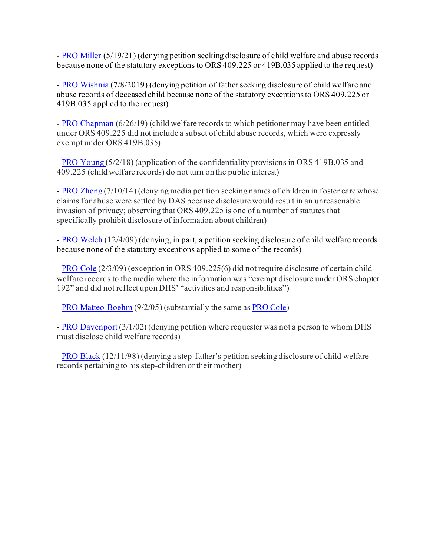- [PRO Miller](https://cdm17027.contentdm.oclc.org/digital/collection/p17027coll2/id/2340/rec/3) (5/19/21) (denying petition seeking disclosure of child welfare and abuse records because none of the statutory exceptions to ORS 409.225 or 419B.035 applied to the request)

- [PRO Wishnia](https://cdm17027.contentdm.oclc.org/digital/collection/p17027coll2/id/2197/rec/4) (7/8/2019) (denying petition of father seeking disclosure of child welfare and abuse records of deceased child because none of the statutory exceptions to ORS 409.225 or 419B.035 applied to the request)

- [PRO Chapman](https://cdm17027.contentdm.oclc.org/digital/collection/p17027coll2/id/2195/rec/2) (6/26/19) (child welfare records to which petitioner may have been entitled under ORS 409.225 did not include a subset of child abuse records, which were expressly exempt under ORS 419B.035)

- [PRO Young](https://cdm17027.contentdm.oclc.org/digital/collection/p17027coll2/id/2146/rec/105) (5/2/18) (application of the confidentiality provisions in ORS 419B.035 and 409.225 (child welfare records) do not turn on the public interest)

- [PRO Zheng](https://cdm17027.contentdm.oclc.org/digital/collection/p17027coll2/id/1743/rec/1) (7/10/14) (denying media petition seeking names of children in foster care whose claims for abuse were settled by DAS because disclosure would result in an unreasonable invasion of privacy; observing that ORS 409.225 is one of a number of statutes that specifically prohibit disclosure of information about children)

- [PRO Welch](http://cdm17027.contentdm.oclc.org/cdm/ref/collection/p17027coll2/id/1335/rec/2) (12/4/09) (denying, in part, a petition seeking disclosure of child welfare records because none of the statutory exceptions applied to some of the records)

- [PRO Cole](http://cdm17027.contentdm.oclc.org/cdm/ref/collection/p17027coll2/id/1397/rec/4) (2/3/09) (exception in ORS 409.225(6) did not require disclosure of certain child welfare records to the media where the information was "exempt disclosure under ORS chapter 192" and did not reflect upon DHS' "activities and responsibilities")

- [PRO Matteo-Boehm](http://cdm17027.contentdm.oclc.org/cdm/ref/collection/p17027coll2/id/1637/rec/6) (9/2/05) (substantially the same a[s PRO Cole\)](http://cdm17027.contentdm.oclc.org/cdm/ref/collection/p17027coll2/id/1397/rec/4)

- [PRO Davenport](http://cdm17027.contentdm.oclc.org/cdm/ref/collection/p17027coll2/id/1178/rec/7) (3/1/02) (denying petition where requester was not a person to whom DHS must disclose child welfare records)

- [PRO Black](http://cdm17027.contentdm.oclc.org/cdm/ref/collection/p17027coll2/id/672/rec/9) (12/11/98) (denying a step-father's petition seeking disclosure of child welfare records pertaining to his step-children or their mother)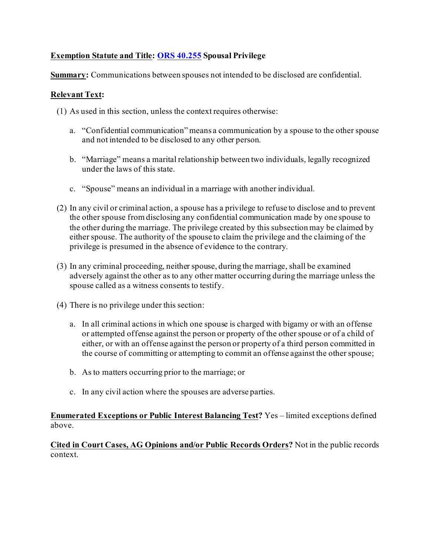# **Exemption Statute and Title: [ORS 40.255](https://oregon.public.law/statutes/ors_40.255) Spousal Privilege**

**Summary:** Communications between spouses not intended to be disclosed are confidential.

#### **Relevant Text:**

- (1) As used in this section, unless the context requires otherwise:
	- a. "Confidential communication" means a communication by a spouse to the other spouse and not intended to be disclosed to any other person.
	- b. "Marriage" means a marital relationship between two individuals, legally recognized under the laws of this state.
	- c. "Spouse" means an individual in a marriage with another individual.
- (2) In any civil or criminal action, a spouse has a privilege to refuse to disclose and to prevent the other spouse from disclosing any confidential communication made by one spouse to the other during the marriage. The privilege created by this subsection may be claimed by either spouse. The authority of the spouse to claim the privilege and the claiming of the privilege is presumed in the absence of evidence to the contrary.
- (3) In any criminal proceeding, neither spouse, during the marriage, shall be examined adversely against the other as to any other matter occurring during the marriage unless the spouse called as a witness consents to testify.
- (4) There is no privilege under this section:
	- a. In all criminal actions in which one spouse is charged with bigamy or with an offense or attempted offense against the person or property of the other spouse or of a child of either, or with an offense against the person or property of a third person committed in the course of committing or attempting to commit an offense against the other spouse;
	- b. As to matters occurring prior to the marriage; or
	- c. In any civil action where the spouses are adverse parties.

#### **Enumerated Exceptions or Public Interest Balancing Test?** Yes – limited exceptions defined above.

**Cited in Court Cases, AG Opinions and/or Public Records Orders?** Not in the public records context.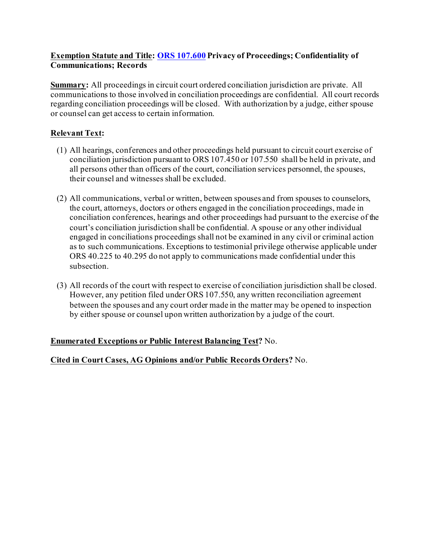# **Exemption Statute and Title: [ORS 107.600](https://oregon.public.law/statutes/ors_107.600) Privacy of Proceedings; Confidentiality of Communications; Records**

**Summary:** All proceedings in circuit court ordered conciliation jurisdiction are private. All communications to those involved in conciliation proceedings are confidential. All court records regarding conciliation proceedings will be closed. With authorization by a judge, either spouse or counsel can get access to certain information.

# **Relevant Text:**

- (1) All hearings, conferences and other proceedings held pursuant to circuit court exercise of conciliation jurisdiction pursuant to ORS 107.450 or 107.550 shall be held in private, and all persons other than officers of the court, conciliation services personnel, the spouses, their counsel and witnesses shall be excluded.
- (2) All communications, verbal or written, between spouses and from spouses to counselors, the court, attorneys, doctors or others engaged in the conciliation proceedings, made in conciliation conferences, hearings and other proceedings had pursuant to the exercise of the court's conciliation jurisdiction shall be confidential. A spouse or any other individual engaged in conciliations proceedings shall not be examined in any civil or criminal action as to such communications. Exceptions to testimonial privilege otherwise applicable under ORS 40.225 to 40.295 do not apply to communications made confidential under this subsection.
- (3) All records of the court with respect to exercise of conciliation jurisdiction shall be closed. However, any petition filed under ORS 107.550, any written reconciliation agreement between the spouses and any court order made in the matter may be opened to inspection by either spouse or counsel upon written authorization by a judge of the court.

# **Enumerated Exceptions or Public Interest Balancing Test?** No.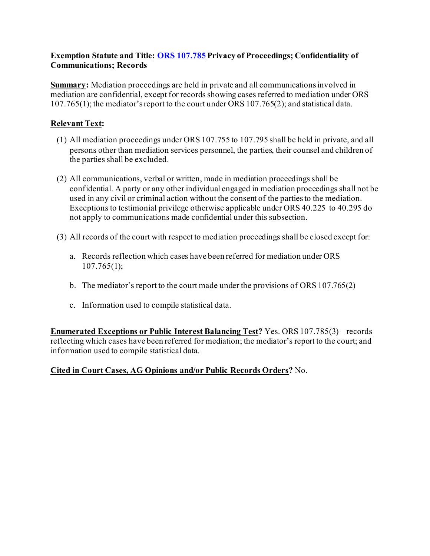## **Exemption Statute and Title: [ORS 107.785](https://oregon.public.law/statutes/ors_107.785) Privacy of Proceedings; Confidentiality of Communications; Records**

**Summary:** Mediation proceedings are held in private and all communications involved in mediation are confidential, except for records showing cases referred to mediation under ORS 107.765(1); the mediator's report to the court under ORS 107.765(2); and statistical data.

# **Relevant Text:**

- (1) All mediation proceedings under ORS 107.755 to 107.795 shall be held in private, and all persons other than mediation services personnel, the parties, their counsel and children of the parties shall be excluded.
- (2) All communications, verbal or written, made in mediation proceedings shall be confidential. A party or any other individual engaged in mediation proceedings shall not be used in any civil or criminal action without the consent of the parties to the mediation. Exceptions to testimonial privilege otherwise applicable under ORS 40.225 to 40.295 do not apply to communications made confidential under this subsection.
- (3) All records of the court with respect to mediation proceedings shall be closed except for:
	- a. Records reflection which cases have been referred for mediation under ORS 107.765(1);
	- b. The mediator's report to the court made under the provisions of ORS 107.765(2)
	- c. Information used to compile statistical data.

**Enumerated Exceptions or Public Interest Balancing Test?** Yes. ORS 107.785(3) – records reflecting which cases have been referred for mediation; the mediator's report to the court; and information used to compile statistical data.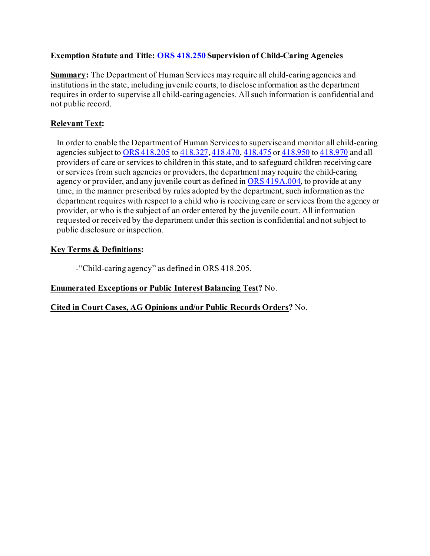# **Exemption Statute and Title: [ORS 418.250](https://oregon.public.law/statutes/ors_418.250) Supervision of Child-Caring Agencies**

**Summary:** The Department of Human Services may require all child-caring agencies and institutions in the state, including juvenile courts, to disclose information as the department requires in order to supervise all child-caring agencies. All such information is confidential and not public record.

# **Relevant Text:**

In order to enable the Department of Human Services to supervise and monitor all child-caring agencies subject to [ORS 418.205](https://oregon.public.law/statutes/ors_418.205) to [418.327,](https://oregon.public.law/statutes/ors_418.327) [418.470,](https://oregon.public.law/statutes/ors_418.470) [418.475](https://oregon.public.law/statutes/ors_418.475) or [418.950](https://oregon.public.law/statutes/ors_418.950) to [418.970](https://oregon.public.law/statutes/ors_418.970) and all providers of care or services to children in this state, and to safeguard children receiving care or services from such agencies or providers, the department may require the child-caring agency or provider, and any juvenile court as defined in [ORS 419A.004](https://oregon.public.law/statutes/ors_419A.004), to provide at any time, in the manner prescribed by rules adopted by the department, such information as the department requires with respect to a child who is receiving care or services from the agency or provider, or who is the subject of an order entered by the juvenile court. All information requested or received by the department under this section is confidential and not subject to public disclosure or inspection.

#### **Key Terms & Definitions:**

-"Child-caring agency" as defined in ORS 418.205.

# **Enumerated Exceptions or Public Interest Balancing Test?** No.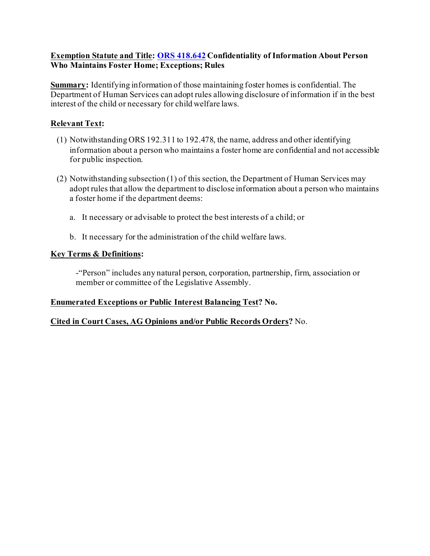#### **Exemption Statute and Title: [ORS 418.642](https://oregon.public.law/statutes/ors_418.642) Confidentiality of Information About Person Who Maintains Foster Home; Exceptions; Rules**

**Summary:** Identifying information of those maintaining foster homes is confidential. The Department of Human Services can adopt rules allowing disclosure of information if in the best interest of the child or necessary for child welfare laws.

#### **Relevant Text:**

- (1) Notwithstanding ORS 192.311 to 192.478, the name, address and other identifying information about a person who maintains a foster home are confidential and not accessible for public inspection.
- (2) Notwithstanding subsection (1) of this section, the Department of Human Services may adopt rules that allow the department to disclose information about a person who maintains a foster home if the department deems:
	- a. It necessary or advisable to protect the best interests of a child; or
	- b. It necessary for the administration of the child welfare laws.

#### **Key Terms & Definitions:**

-"Person" includes any natural person, corporation, partnership, firm, association or member or committee of the Legislative Assembly.

#### **Enumerated Exceptions or Public Interest Balancing Test? No.**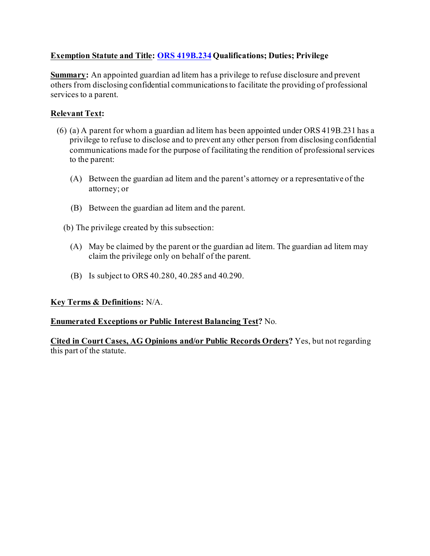# **Exemption Statute and Title: [ORS 419B.234](https://oregon.public.law/statutes/ors_419b.234) Qualifications; Duties; Privilege**

**Summary:** An appointed guardian ad litem has a privilege to refuse disclosure and prevent others from disclosing confidential communications to facilitate the providing of professional services to a parent.

# **Relevant Text:**

- (6) (a) A parent for whom a guardian ad litem has been appointed under ORS 419B.231 has a privilege to refuse to disclose and to prevent any other person from disclosing confidential communications made for the purpose of facilitating the rendition of professional services to the parent:
	- (A) Between the guardian ad litem and the parent's attorney or a representative of the attorney; or
	- (B) Between the guardian ad litem and the parent.
	- (b) The privilege created by this subsection:
		- (A) May be claimed by the parent or the guardian ad litem. The guardian ad litem may claim the privilege only on behalf of the parent.
		- (B) Is subject to ORS 40.280, 40.285 and 40.290.

#### **Key Terms & Definitions:** N/A.

#### **Enumerated Exceptions or Public Interest Balancing Test?** No*.*

**Cited in Court Cases, AG Opinions and/or Public Records Orders?** Yes, but not regarding this part of the statute.